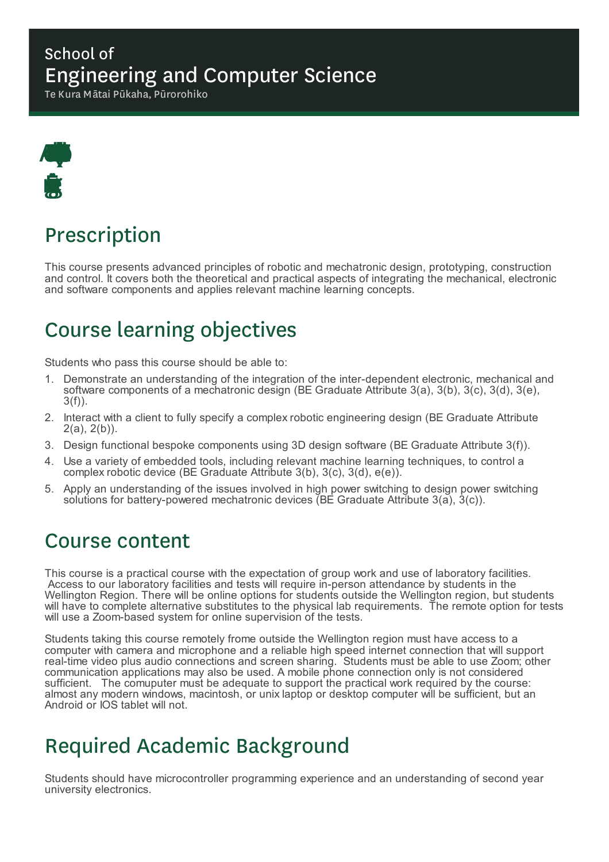### School of Engineering and Computer Science

Te Kura Mātai Pūkaha, Pūrorohiko



# Prescription

This course presents advanced principles of robotic and mechatronic design, prototyping, construction and control. It covers both the theoretical and practical aspects of integrating the mechanical, electronic and software components and applies relevant machine learning concepts.

# Course learning objectives

Students who pass this course should be able to:

- 1. Demonstrate an understanding of the integration of the inter-dependent electronic, mechanical and software components of a mechatronic design (BE Graduate Attribute 3(a), 3(b), 3(c), 3(d), 3(e), 3(f)).
- 2. Interact with a client to fully specify a complex robotic engineering design (BE Graduate Attribute  $2(a), 2(b)$ ).
- 3. Design functional bespoke components using 3D design software (BE Graduate Attribute 3(f)).
- 4. Use a variety of embedded tools, including relevant machine learning techniques, to control a complex robotic device (BE Graduate Attribute 3(b), 3(c), 3(d), e(e)).
- 5. Apply an understanding of the issues involved in high power switching to design power switching solutions for battery-powered mechatronic devices (BE Graduate Attribute 3(a), 3(c)).

### Course content

This course is a practical course with the expectation of group work and use of laboratory facilities. Access to our laboratory facilities and tests will require in-person attendance by students in the Wellington Region. There will be online options for students outside the Wellington region, but students will have to complete alternative substitutes to the physical lab requirements. The remote option for tests will use a Zoom-based system for online supervision of the tests.

Students taking this course remotely frome outside the Wellington region must have access to a computer with camera and microphone and a reliable high speed internet connection that will support real-time video plus audio connections and screen sharing. Students must be able to use Zoom; other communication applications may also be used. A mobile phone connection only is not considered sufficient. The comuputer must be adequate to support the practical work required by the course: almost any modern windows, macintosh, or unix laptop or desktop computer will be sufficient, but an Android or IOS tablet will not.

## Required Academic Background

Students should have microcontroller programming experience and an understanding of second year university electronics.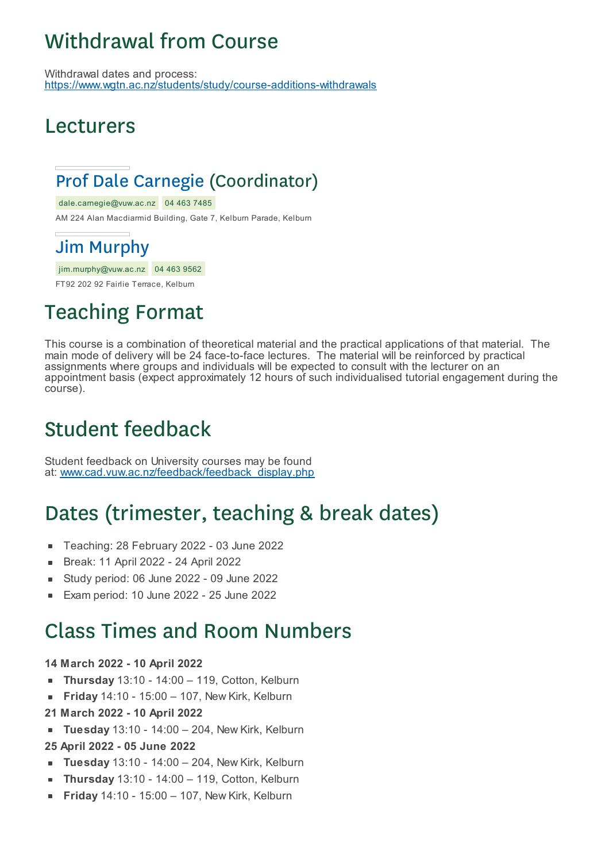# Withdrawal from Course

Withdrawal dates and process: https://www.wgtn.ac.nz/students/study/course-additions-withdrawals

## Lecturers

## Prof Dale Carnegie (Coordinator)

dale.carnegie@vuw.ac.nz 04 463 7485

AM 224 Alan Macdiarmid Building, Gate 7, Kelburn Parade, Kelburn

### Jim Murphy

jim.murphy@vuw.ac.nz 04 463 9562

FT92 202 92 Fairlie Terrace, Kelburn

# Teaching Format

This course is a combination of theoretical material and the practical applications of that material. The main mode of delivery will be 24 face-to-face lectures. The material will be reinforced by practical assignments where groups and individuals will be expected to consult with the lecturer on an appointment basis (expect approximately 12 hours of such individualised tutorial engagement during the course).

# Student feedback

Student feedback on University courses may be found at: www.cad.vuw.ac.nz/feedback/feedback\_display.php

# Dates (trimester, teaching & break dates)

- Teaching: 28 February 2022 03 June 2022
- Break: 11 April 2022 24 April 2022  $\blacksquare$
- Study period: 06 June 2022 09 June 2022 É
- Exam period: 10 June 2022 25 June 2022

## Class Times and Room Numbers

#### **14 March 2022 - 10 April 2022**

- **Thursday** 13:10 14:00 119, Cotton, Kelburn
- **Friday** 14:10 15:00 107, New Kirk, Kelburn  $\blacksquare$
- **21 March 2022 - 10 April 2022**
- **Tuesday** 13:10 14:00 204, New Kirk, Kelburn

#### **25 April 2022 - 05 June 2022**

- **Tuesday** 13:10 14:00 204, New Kirk, Kelburn  $\blacksquare$
- **Thursday** 13:10 14:00 119, Cotton, Kelburn
- **Friday** 14:10 15:00 107, New Kirk, Kelburn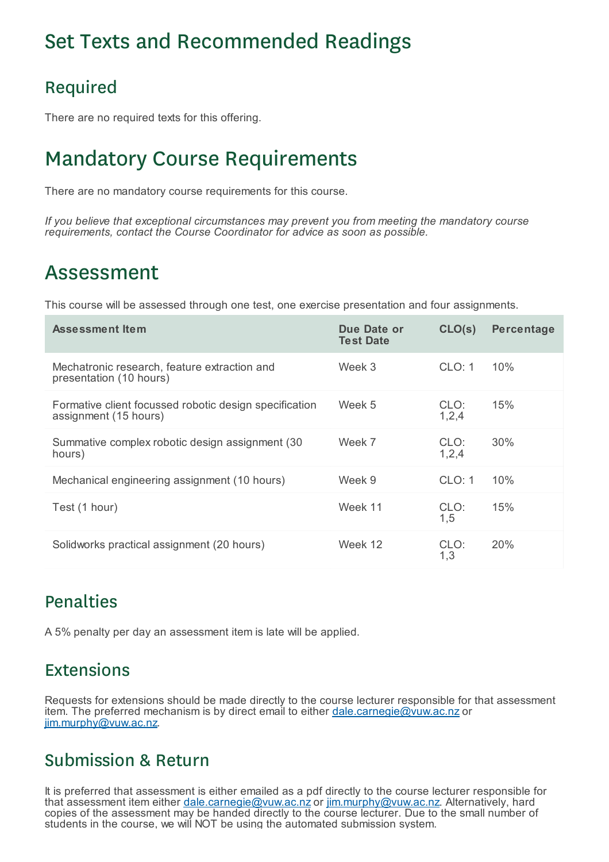## Set Texts and Recommended Readings

### Required

There are no required texts for this offering.

# Mandatory Course Requirements

There are no mandatory course requirements for this course.

*If you believe that exceptional circumstances may prevent you from meeting the mandatory course requirements, contact the Course Coordinator for advice as soon as possible.*

## Assessment

This course will be assessed through one test, one exercise presentation and four assignments.

| <b>Assessment Item</b>                                                          | Due Date or<br><b>Test Date</b> | CLO(s)          | Percentage |
|---------------------------------------------------------------------------------|---------------------------------|-----------------|------------|
| Mechatronic research, feature extraction and<br>presentation (10 hours)         | Week 3                          | CLO: 1          | 10%        |
| Formative client focussed robotic design specification<br>assignment (15 hours) | Week 5                          | CLO:<br>1,2,4   | 15%        |
| Summative complex robotic design assignment (30)<br>hours)                      | Week 7                          | CLO:<br>1, 2, 4 | 30%        |
| Mechanical engineering assignment (10 hours)                                    | Week 9                          | CLO: 1          | 10%        |
| Test (1 hour)                                                                   | Week 11                         | CLO:<br>1,5     | 15%        |
| Solidworks practical assignment (20 hours)                                      | Week 12                         | CLO:<br>1,3     | 20%        |

### Penalties

A 5% penalty per day an assessment item is late will be applied.

### Extensions

Requests for extensions should be made directly to the course lecturer responsible for that assessment item. The preferred mechanism is by direct email to either dale.carnegie@vuw.ac.nz or jim.murphy@vuw.ac.nz.

### Submission & Return

It is preferred that assessment is either emailed as a pdf directly to the course lecturer responsible for that assessment item either dale.carnegie@vuw.ac.nz or jim.murphy@vuw.ac.nz. Alternatively, hard copies of the assessment may be handed directly to the course lecturer. Due to the small number of students in the course, we will NOT be using the automated submission system.